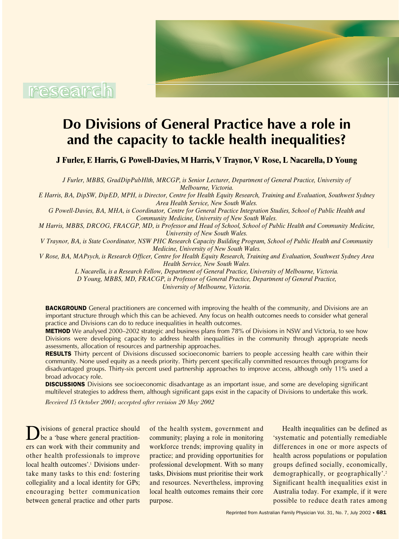

# **Do Divisions of General Practice have a role in and the capacity to tackle health inequalities?**

**J Furler, E Harris, G Powell-Davies, M Harris, V Traynor, V Rose, L Nacarella, D Young**

*J Furler, MBBS, GradDipPubHlth, MRCGP, is Senior Lecturer, Department of General Practice, University of Melbourne, Victoria.*

*E Harris, BA, DipSW, DipED, MPH, is Director, Centre for Health Equity Research, Training and Evaluation, Southwest Sydney Area Health Service, New South Wales.*

*G Powell-Davies, BA, MHA, is Coordinator, Centre for General Practice Integration Studies, School of Public Health and Community Medicine, University of New South Wales.*

*M Harris, MBBS, DRCOG, FRACGP, MD, is Professor and Head of School, School of Public Health and Community Medicine, University of New South Wales.*

*V Traynor, BA, is State Coordinator, NSW PHC Research Capacity Building Program, School of Public Health and Community Medicine, University of New South Wales.*

*V Rose, BA, MAPsych, is Research Officer, Centre for Health Equity Research, Training and Evaluation, Southwest Sydney Area Health Service, New South Wales.*

*L Nacarella, is a Research Fellow, Department of General Practice, University of Melbourne, Victoria.*

*D Young, MBBS, MD, FRACGP, is Professor of General Practice, Department of General Practice,* 

*University of Melbourne, Victoria.*

**BACKGROUND** General practitioners are concerned with improving the health of the community, and Divisions are an important structure through which this can be achieved. Any focus on health outcomes needs to consider what general practice and Divisions can do to reduce inequalities in health outcomes.

**METHOD** We analysed 2000–2002 strategic and business plans from 78% of Divisions in NSW and Victoria, to see how Divisions were developing capacity to address health inequalities in the community through appropriate needs assessments, allocation of resources and partnership approaches.

**RESULTS** Thirty percent of Divisions discussed socioeconomic barriers to people accessing health care within their community. None used equity as a needs priority. Thirty percent specifically committed resources through programs for disadvantaged groups. Thirty-six percent used partnership approaches to improve access, although only 11% used a broad advocacy role.

**DISCUSSIONS** Divisions see socioeconomic disadvantage as an important issue, and some are developing significant multilevel strategies to address them, although significant gaps exist in the capacity of Divisions to undertake this work.

*Received 15 October 2001; accepted after revision 20 May 2002*

Divisions of general practice should<br>be a 'base where general practitioners can work with their community and other health professionals to improve local health outcomes'.<sup>1</sup> Divisions undertake many tasks to this end: fostering collegiality and a local identity for GPs; encouraging better communication between general practice and other parts of the health system, government and community; playing a role in monitoring workforce trends; improving quality in practice; and providing opportunities for professional development. With so many tasks, Divisions must prioritise their work and resources. Nevertheless, improving local health outcomes remains their core purpose.

Health inequalities can be defined as 'systematic and potentially remediable differences in one or more aspects of health across populations or population groups defined socially, economically, demographically, or geographically'.<sup>2</sup> Significant health inequalities exist in Australia today. For example, if it were possible to reduce death rates among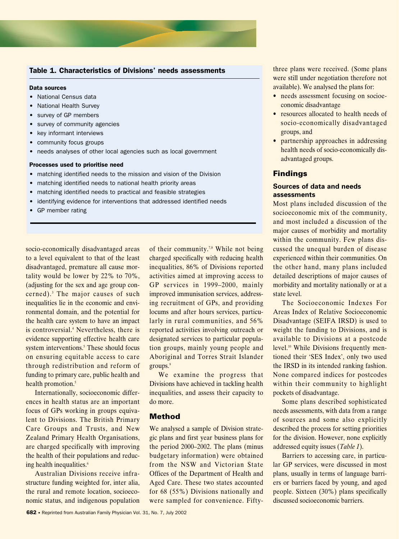

#### Table 1. Characteristics of Divisions' needs assessments

#### Data sources

- National Census data
- National Health Survey
- survey of GP members
- survey of community agencies
- key informant interviews
- community focus groups
- needs analyses of other local agencies such as local government

#### Processes used to prioritise need

- matching identified needs to the mission and vision of the Division
- matching identified needs to national health priority areas
- matching identified needs to practical and feasible strategies
- identifying evidence for interventions that addressed identified needs
- GP member rating

socio-economically disadvantaged areas to a level equivalent to that of the least disadvantaged, premature all cause mortality would be lower by 22% to 70%, (adjusting for the sex and age group concerned).<sup>3</sup> The major causes of such inequalities lie in the economic and environmental domain, and the potential for the health care system to have an impact is controversial.4 Nevertheless, there is evidence supporting effective health care system interventions.<sup>5</sup> These should focus on ensuring equitable access to care through redistribution and reform of funding to primary care, public health and health promotion.<sup>5</sup>

Internationally, socioeconomic differences in health status are an important focus of GPs working in groups equivalent to Divisions. The British Primary Care Groups and Trusts, and New Zealand Primary Health Organisations, are charged specifically with improving the health of their populations and reducing health inequalities.<sup>6</sup>

Australian Divisions receive infrastructure funding weighted for, inter alia, the rural and remote location, socioeconomic status, and indigenous population

of their community.<sup>7,8</sup> While not being charged specifically with reducing health inequalities, 86% of Divisions reported activities aimed at improving access to GP services in 1999–2000, mainly improved immunisation services, addressing recruitment of GPs, and providing locums and after hours services, particularly in rural communities, and 56% reported activities involving outreach or designated services to particular population groups, mainly young people and Aboriginal and Torres Strait Islander groups.<sup>9</sup>

We examine the progress that Divisions have achieved in tackling health inequalities, and assess their capacity to do more.

#### **Method**

We analysed a sample of Division strategic plans and first year business plans for the period 2000–2002. The plans (minus budgetary information) were obtained from the NSW and Victorian State Offices of the Department of Health and Aged Care. These two states accounted for 68 (55%) Divisions nationally and were sampled for convenience. Fiftythree plans were received. (Some plans were still under negotiation therefore not available). We analysed the plans for:

- needs assessment focusing on socioeconomic disadvantage
- resources allocated to health needs of socio-economically disadvantaged groups, and
- partnership approaches in addressing health needs of socio-economically disadvantaged groups.

#### **Findings**

#### **Sources of data and needs assessments**

Most plans included discussion of the socioeconomic mix of the community, and most included a discussion of the major causes of morbidity and mortality within the community. Few plans discussed the unequal burden of disease experienced within their communities. On the other hand, many plans included detailed descriptions of major causes of morbidity and mortality nationally or at a state level.

The Socioeconomic Indexes For Areas Index of Relative Socioeconomic Disadvantage (SEIFA IRSD) is used to weight the funding to Divisions, and is available to Divisions at a postcode level.<sup>10</sup> While Divisions frequently mentioned their 'SES Index', only two used the IRSD in its intended ranking fashion. None compared indices for postcodes within their community to highlight pockets of disadvantage.

Some plans described sophisticated needs assessments, with data from a range of sources and some also explicitly described the process for setting priorities for the division. However, none explicitly addressed equity issues (*Table 1*).

Barriers to accessing care, in particular GP services, were discussed in most plans, usually in terms of language barriers or barriers faced by young, and aged people. Sixteen (30%) plans specifically discussed socioeconomic barriers.